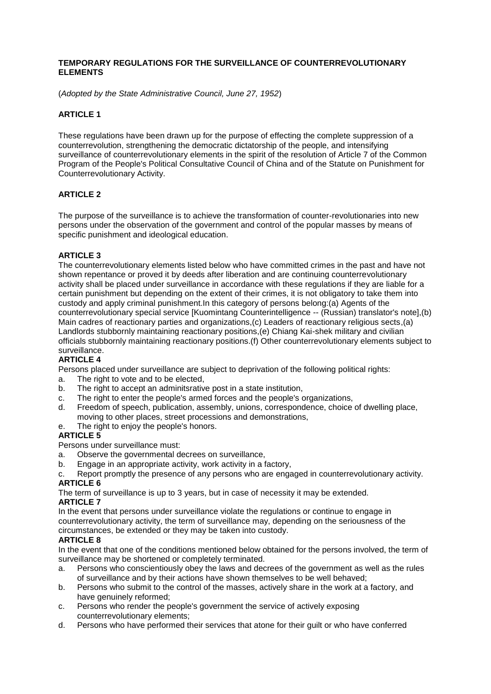### **TEMPORARY REGULATIONS FOR THE SURVEILLANCE OF COUNTERREVOLUTIONARY ELEMENTS**

(*Adopted by the State Administrative Council, June 27, 1952*)

# **ARTICLE 1**

These regulations have been drawn up for the purpose of effecting the complete suppression of a counterrevolution, strengthening the democratic dictatorship of the people, and intensifying surveillance of counterrevolutionary elements in the spirit of the resolution of Article 7 of the Common Program of the People's Political Consultative Council of China and of the Statute on Punishment for Counterrevolutionary Activity.

## **ARTICLE 2**

The purpose of the surveillance is to achieve the transformation of counter-revolutionaries into new persons under the observation of the government and control of the popular masses by means of specific punishment and ideological education.

# **ARTICLE 3**

The counterrevolutionary elements listed below who have committed crimes in the past and have not shown repentance or proved it by deeds after liberation and are continuing counterrevolutionary activity shall be placed under surveillance in accordance with these regulations if they are liable for a certain punishment but depending on the extent of their crimes, it is not obligatory to take them into custody and apply criminal punishment.In this category of persons belong:(a) Agents of the counterrevolutionary special service [Kuomintang Counterintelligence -- (Russian) translator's note],(b) Main cadres of reactionary parties and organizations,(c) Leaders of reactionary religious sects,(a) Landlords stubbornly maintaining reactionary positions,(e) Chiang Kai-shek military and civilian officials stubbornly maintaining reactionary positions.(f) Other counterrevolutionary elements subject to surveillance.

## **ARTICLE 4**

Persons placed under surveillance are subject to deprivation of the following political rights:

- a. The right to vote and to be elected,
- b. The right to accept an adminitsrative post in a state institution,
- c. The right to enter the people's armed forces and the people's organizations,
- d. Freedom of speech, publication, assembly, unions, correspondence, choice of dwelling place, moving to other places, street processions and demonstrations,
- e. The right to enjoy the people's honors.

## **ARTICLE 5**

Persons under surveillance must:

- a. Observe the governmental decrees on surveillance,
- b. Engage in an appropriate activity, work activity in a factory,
- c. Report promptly the presence of any persons who are engaged in counterrevolutionary activity. **ARTICLE 6**

The term of surveillance is up to 3 years, but in case of necessity it may be extended.

# **ARTICLE 7**

In the event that persons under surveillance violate the regulations or continue to engage in counterrevolutionary activity, the term of surveillance may, depending on the seriousness of the circumstances, be extended or they may be taken into custody.

## **ARTICLE 8**

In the event that one of the conditions mentioned below obtained for the persons involved, the term of surveillance may be shortened or completely terminated.

- a. Persons who conscientiously obey the laws and decrees of the government as well as the rules of surveillance and by their actions have shown themselves to be well behaved;
- b. Persons who submit to the control of the masses, actively share in the work at a factory, and have genuinely reformed:
- c. Persons who render the people's government the service of actively exposing counterrevolutionary elements;
- d. Persons who have performed their services that atone for their guilt or who have conferred